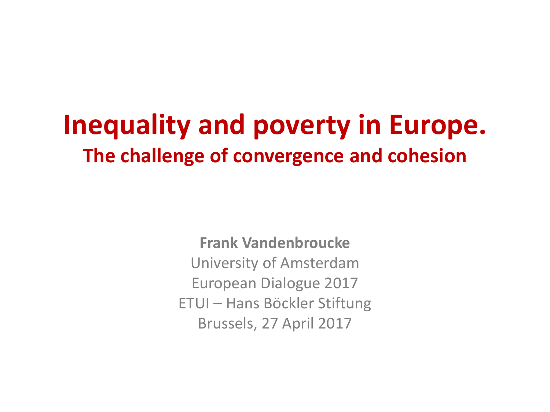# **Inequality and poverty in Europe. The challenge of convergence and cohesion**

**Frank Vandenbroucke** University of Amsterdam European Dialogue 2017 ETUI – Hans Böckler Stiftung Brussels, 27 April 2017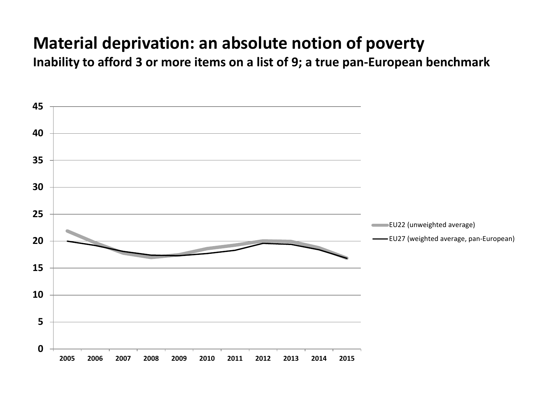#### **Material deprivation: an absolute notion of poverty**

**Inability to afford 3 or more items on a list of 9; a true pan-European benchmark**

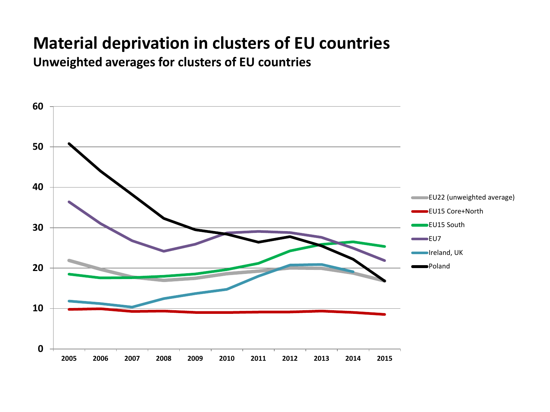#### **Material deprivation in clusters of EU countries**

**Unweighted averages for clusters of EU countries**

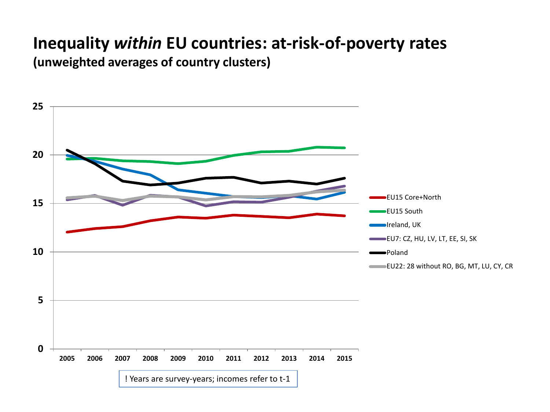# **Inequality** *within* **EU countries: at-risk-of-poverty rates**

**(unweighted averages of country clusters)**

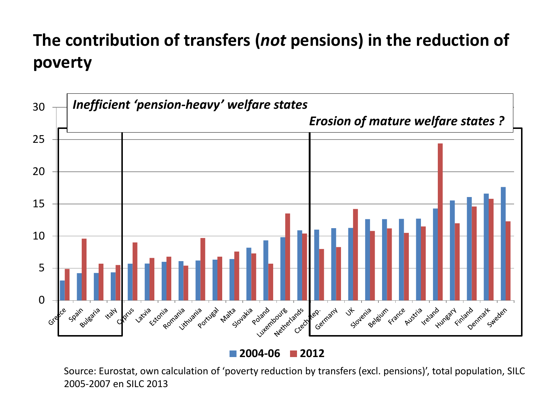## **The contribution of transfers (***not* **pensions) in the reduction of poverty**



**2004-06 2012**

Source: Eurostat, own calculation of 'poverty reduction by transfers (excl. pensions)', total population, SILC 2005-2007 en SILC 2013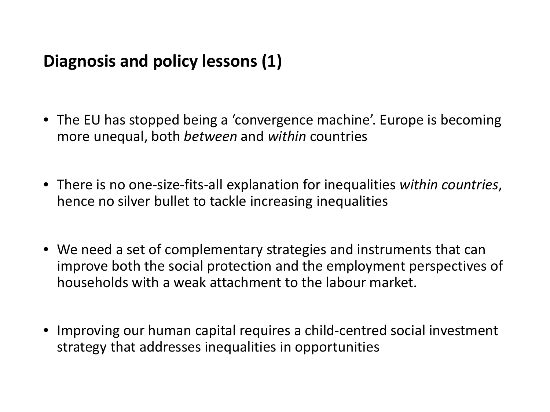### **Diagnosis and policy lessons (1)**

- The EU has stopped being a 'convergence machine'. Europe is becoming more unequal, both *between* and *within* countries
- There is no one-size-fits-all explanation for inequalities *within countries*, hence no silver bullet to tackle increasing inequalities
- We need a set of complementary strategies and instruments that can improve both the social protection and the employment perspectives of households with a weak attachment to the labour market.
- Improving our human capital requires a child-centred social investment strategy that addresses inequalities in opportunities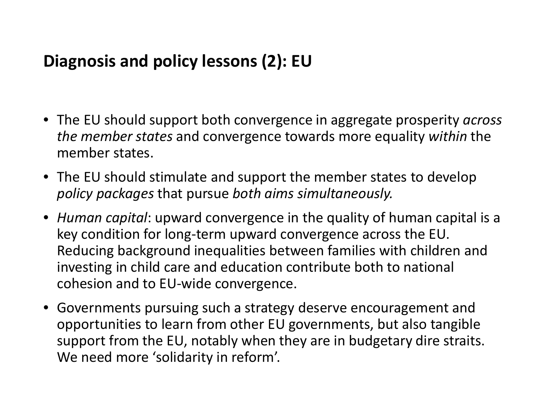#### **Diagnosis and policy lessons (2): EU**

- The EU should support both convergence in aggregate prosperity *across the member states* and convergence towards more equality *within* the member states.
- The EU should stimulate and support the member states to develop *policy packages* that pursue *both aims simultaneously.*
- *Human capital*: upward convergence in the quality of human capital is a key condition for long-term upward convergence across the EU. Reducing background inequalities between families with children and investing in child care and education contribute both to national cohesion and to EU-wide convergence.
- Governments pursuing such a strategy deserve encouragement and opportunities to learn from other EU governments, but also tangible support from the EU, notably when they are in budgetary dire straits. We need more 'solidarity in reform'.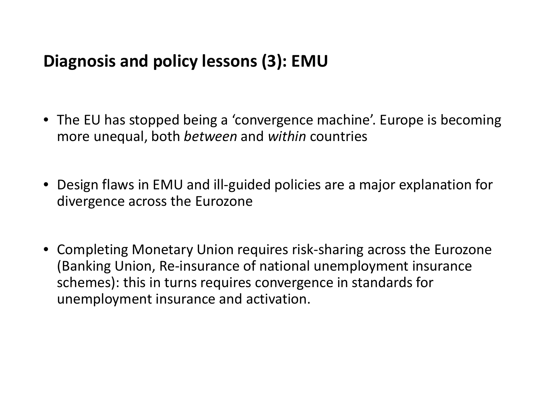#### **Diagnosis and policy lessons (3): EMU**

- The EU has stopped being a 'convergence machine'. Europe is becoming more unequal, both *between* and *within* countries
- Design flaws in EMU and ill-guided policies are a major explanation for divergence across the Eurozone
- Completing Monetary Union requires risk-sharing across the Eurozone (Banking Union, Re-insurance of national unemployment insurance schemes): this in turns requires convergence in standards for unemployment insurance and activation.